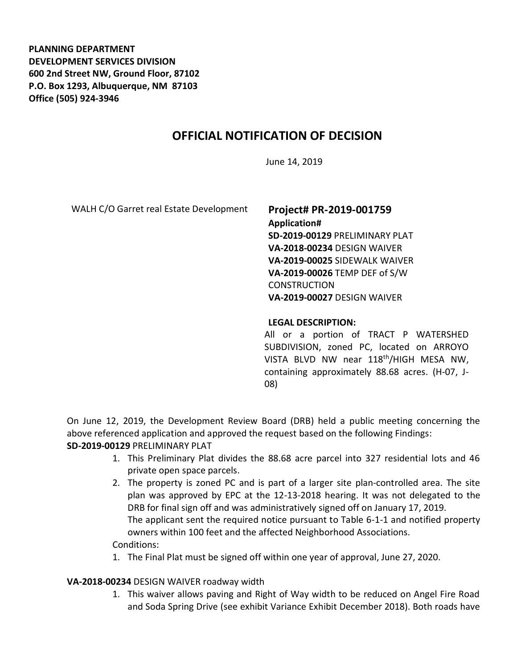**PLANNING DEPARTMENT DEVELOPMENT SERVICES DIVISION 600 2nd Street NW, Ground Floor, 87102 P.O. Box 1293, Albuquerque, NM 87103 Office (505) 924-3946** 

# **OFFICIAL NOTIFICATION OF DECISION**

June 14, 2019

WALH C/O Garret real Estate Development **Project# PR-2019-001759** 

**Application# SD-2019-00129** PRELIMINARY PLAT **VA-2018-00234** DESIGN WAIVER **VA-2019-00025** SIDEWALK WAIVER **VA-2019-00026** TEMP DEF of S/W **CONSTRUCTION VA-2019-00027** DESIGN WAIVER

#### **LEGAL DESCRIPTION:**

All or a portion of TRACT P WATERSHED SUBDIVISION, zoned PC, located on ARROYO VISTA BLVD NW near 118th/HIGH MESA NW, containing approximately 88.68 acres. (H-07, J-08)

On June 12, 2019, the Development Review Board (DRB) held a public meeting concerning the above referenced application and approved the request based on the following Findings: **SD-2019-00129** PRELIMINARY PLAT

- 1. This Preliminary Plat divides the 88.68 acre parcel into 327 residential lots and 46 private open space parcels.
- 2. The property is zoned PC and is part of a larger site plan-controlled area. The site plan was approved by EPC at the 12-13-2018 hearing. It was not delegated to the DRB for final sign off and was administratively signed off on January 17, 2019. The applicant sent the required notice pursuant to Table 6-1-1 and notified property owners within 100 feet and the affected Neighborhood Associations. Conditions:
- 1. The Final Plat must be signed off within one year of approval, June 27, 2020.

### **VA-2018-00234** DESIGN WAIVER roadway width

1. This waiver allows paving and Right of Way width to be reduced on Angel Fire Road and Soda Spring Drive (see exhibit Variance Exhibit December 2018). Both roads have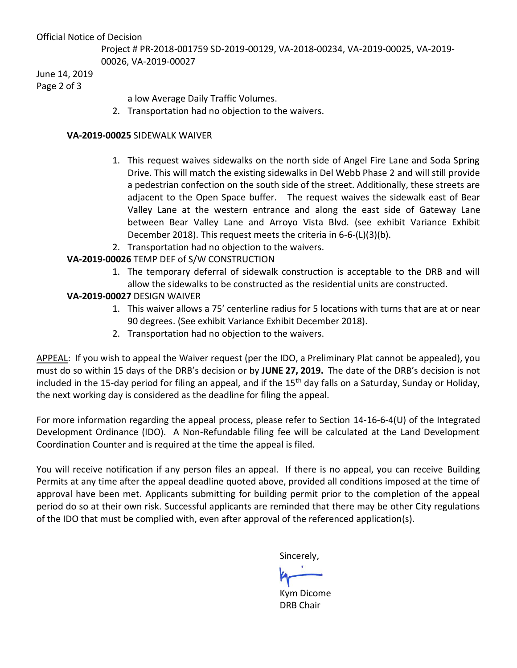#### Official Notice of Decision

Project # PR-2018-001759 SD-2019-00129, VA-2018-00234, VA-2019-00025, VA-2019- 00026, VA-2019-00027

June 14, 2019

Page 2 of 3

a low Average Daily Traffic Volumes.

2. Transportation had no objection to the waivers.

### **VA-2019-00025** SIDEWALK WAIVER

- 1. This request waives sidewalks on the north side of Angel Fire Lane and Soda Spring Drive. This will match the existing sidewalks in Del Webb Phase 2 and will still provide a pedestrian confection on the south side of the street. Additionally, these streets are adjacent to the Open Space buffer. The request waives the sidewalk east of Bear Valley Lane at the western entrance and along the east side of Gateway Lane between Bear Valley Lane and Arroyo Vista Blvd. (see exhibit Variance Exhibit December 2018). This request meets the criteria in 6-6-(L)(3)(b).
- 2. Transportation had no objection to the waivers.

# **VA-2019-00026** TEMP DEF of S/W CONSTRUCTION

1. The temporary deferral of sidewalk construction is acceptable to the DRB and will allow the sidewalks to be constructed as the residential units are constructed.

## **VA-2019-00027** DESIGN WAIVER

- 1. This waiver allows a 75' centerline radius for 5 locations with turns that are at or near 90 degrees. (See exhibit Variance Exhibit December 2018).
- 2. Transportation had no objection to the waivers.

APPEAL: If you wish to appeal the Waiver request (per the IDO, a Preliminary Plat cannot be appealed), you must do so within 15 days of the DRB's decision or by **JUNE 27, 2019.** The date of the DRB's decision is not included in the 15-day period for filing an appeal, and if the 15<sup>th</sup> day falls on a Saturday, Sunday or Holiday, the next working day is considered as the deadline for filing the appeal.

For more information regarding the appeal process, please refer to Section 14-16-6-4(U) of the Integrated Development Ordinance (IDO). A Non-Refundable filing fee will be calculated at the Land Development Coordination Counter and is required at the time the appeal is filed.

You will receive notification if any person files an appeal. If there is no appeal, you can receive Building Permits at any time after the appeal deadline quoted above, provided all conditions imposed at the time of approval have been met. Applicants submitting for building permit prior to the completion of the appeal period do so at their own risk. Successful applicants are reminded that there may be other City regulations of the IDO that must be complied with, even after approval of the referenced application(s).

Sincerely,

Kym Dicome DRB Chair